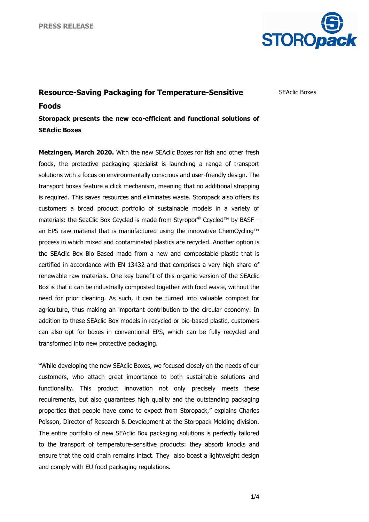

SEAclic Boxes

## **Resource-Saving Packaging for Temperature-Sensitive Foods**

**Storopack presents the new eco-efficient and functional solutions of SEAclic Boxes**

**Metzingen, March 2020.** With the new SEAclic Boxes for fish and other fresh foods, the protective packaging specialist is launching a range of transport solutions with a focus on environmentally conscious and user-friendly design. The transport boxes feature a click mechanism, meaning that no additional strapping is required. This saves resources and eliminates waste. Storopack also offers its customers a broad product portfolio of sustainable models in a variety of materials: the SeaClic Box Ccycled is made from Styropor® Ccycled™ by BASF – an EPS raw material that is manufactured using the innovative ChemCycling™ process in which mixed and contaminated plastics are recycled. Another option is the SEAclic Box Bio Based made from a new and compostable plastic that is certified in accordance with EN 13432 and that comprises a very high share of renewable raw materials. One key benefit of this organic version of the SEAclic Box is that it can be industrially composted together with food waste, without the need for prior cleaning. As such, it can be turned into valuable compost for agriculture, thus making an important contribution to the circular economy. In addition to these SEAclic Box models in recycled or bio-based plastic, customers can also opt for boxes in conventional EPS, which can be fully recycled and transformed into new protective packaging.

"While developing the new SEAclic Boxes, we focused closely on the needs of our customers, who attach great importance to both sustainable solutions and functionality. This product innovation not only precisely meets these requirements, but also guarantees high quality and the outstanding packaging properties that people have come to expect from Storopack," explains Charles Poisson, Director of Research & Development at the Storopack Molding division. The entire portfolio of new SEAclic Box packaging solutions is perfectly tailored to the transport of temperature-sensitive products: they absorb knocks and ensure that the cold chain remains intact. They also boast a lightweight design and comply with EU food packaging regulations.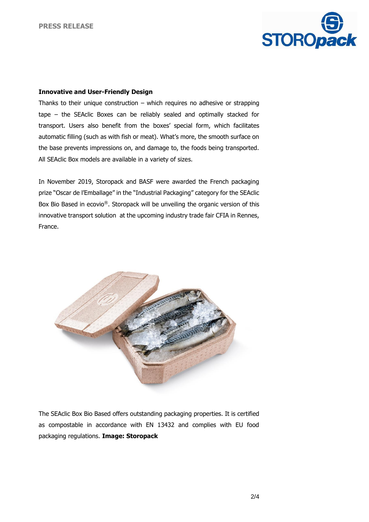

## **Innovative and User-Friendly Design**

Thanks to their unique construction  $-$  which requires no adhesive or strapping tape – the SEAclic Boxes can be reliably sealed and optimally stacked for transport. Users also benefit from the boxes' special form, which facilitates automatic filling (such as with fish or meat). What's more, the smooth surface on the base prevents impressions on, and damage to, the foods being transported. All SEAclic Box models are available in a variety of sizes.

In November 2019, Storopack and BASF were awarded the French packaging prize "Oscar de l'Emballage" in the "Industrial Packaging" category for the SEAclic Box Bio Based in ecovio®. Storopack will be unveiling the organic version of this innovative transport solution at the upcoming industry trade fair CFIA in Rennes, France.



The SEAclic Box Bio Based offers outstanding packaging properties. It is certified as compostable in accordance with EN 13432 and complies with EU food packaging regulations. **Image: Storopack**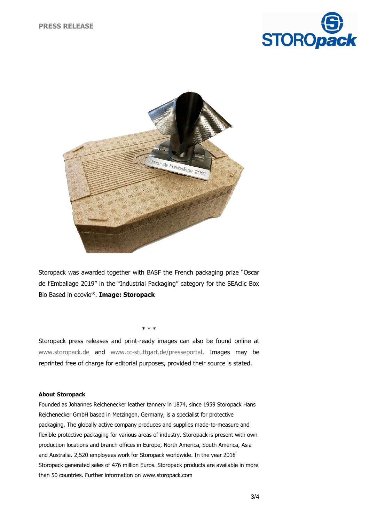



Storopack was awarded together with BASF the French packaging prize "Oscar de l'Emballage 2019" in the "Industrial Packaging" category for the SEAclic Box Bio Based in ecovio®. **Image: Storopack**

\* \* \*

Storopack press releases and print-ready images can also be found online at [www.storopack.de](http://www.storopack.de/) and [www.cc-stuttgart.de/presseportal.](http://www.cc-stuttgart.de/presseportal) Images may be reprinted free of charge for editorial purposes, provided their source is stated.

## **About Storopack**

Founded as Johannes Reichenecker leather tannery in 1874, since 1959 Storopack Hans Reichenecker GmbH based in Metzingen, Germany, is a specialist for protective packaging. The globally active company produces and supplies made-to-measure and flexible protective packaging for various areas of industry. Storopack is present with own production locations and branch offices in Europe, North America, South America, Asia and Australia. 2,520 employees work for Storopack worldwide. In the year 2018 Storopack generated sales of 476 million Euros. Storopack products are available in more than 50 countries. Further information on www.storopack.com